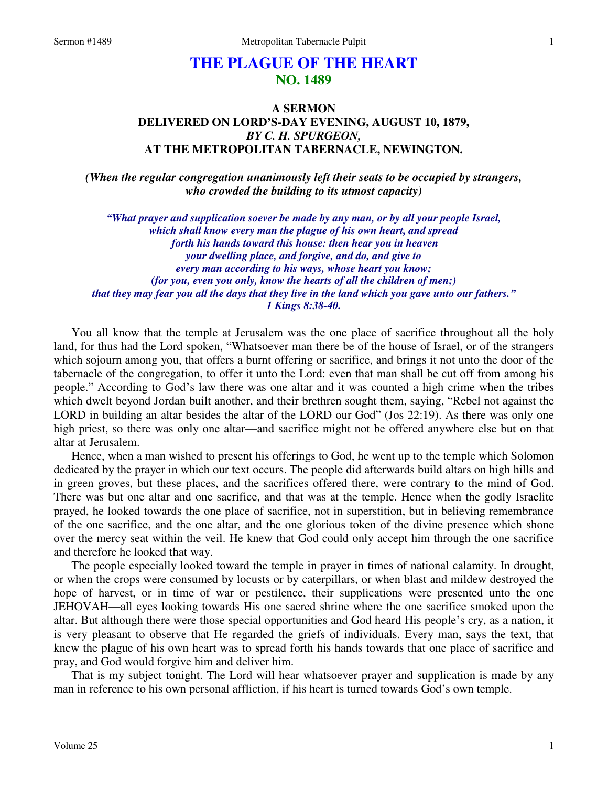# **THE PLAGUE OF THE HEART NO. 1489**

# **A SERMON DELIVERED ON LORD'S-DAY EVENING, AUGUST 10, 1879,**  *BY C. H. SPURGEON,*  **AT THE METROPOLITAN TABERNACLE, NEWINGTON.**

*(When the regular congregation unanimously left their seats to be occupied by strangers, who crowded the building to its utmost capacity)* 

*"What prayer and supplication soever be made by any man, or by all your people Israel, which shall know every man the plague of his own heart, and spread forth his hands toward this house: then hear you in heaven your dwelling place, and forgive, and do, and give to every man according to his ways, whose heart you know; (for you, even you only, know the hearts of all the children of men;) that they may fear you all the days that they live in the land which you gave unto our fathers." 1 Kings 8:38-40.* 

You all know that the temple at Jerusalem was the one place of sacrifice throughout all the holy land, for thus had the Lord spoken, "Whatsoever man there be of the house of Israel, or of the strangers which sojourn among you, that offers a burnt offering or sacrifice, and brings it not unto the door of the tabernacle of the congregation, to offer it unto the Lord: even that man shall be cut off from among his people." According to God's law there was one altar and it was counted a high crime when the tribes which dwelt beyond Jordan built another, and their brethren sought them, saying, "Rebel not against the LORD in building an altar besides the altar of the LORD our God" (Jos 22:19). As there was only one high priest, so there was only one altar—and sacrifice might not be offered anywhere else but on that altar at Jerusalem.

 Hence, when a man wished to present his offerings to God, he went up to the temple which Solomon dedicated by the prayer in which our text occurs. The people did afterwards build altars on high hills and in green groves, but these places, and the sacrifices offered there, were contrary to the mind of God. There was but one altar and one sacrifice, and that was at the temple. Hence when the godly Israelite prayed, he looked towards the one place of sacrifice, not in superstition, but in believing remembrance of the one sacrifice, and the one altar, and the one glorious token of the divine presence which shone over the mercy seat within the veil. He knew that God could only accept him through the one sacrifice and therefore he looked that way.

 The people especially looked toward the temple in prayer in times of national calamity. In drought, or when the crops were consumed by locusts or by caterpillars, or when blast and mildew destroyed the hope of harvest, or in time of war or pestilence, their supplications were presented unto the one JEHOVAH—all eyes looking towards His one sacred shrine where the one sacrifice smoked upon the altar. But although there were those special opportunities and God heard His people's cry, as a nation, it is very pleasant to observe that He regarded the griefs of individuals. Every man, says the text, that knew the plague of his own heart was to spread forth his hands towards that one place of sacrifice and pray, and God would forgive him and deliver him.

 That is my subject tonight. The Lord will hear whatsoever prayer and supplication is made by any man in reference to his own personal affliction, if his heart is turned towards God's own temple.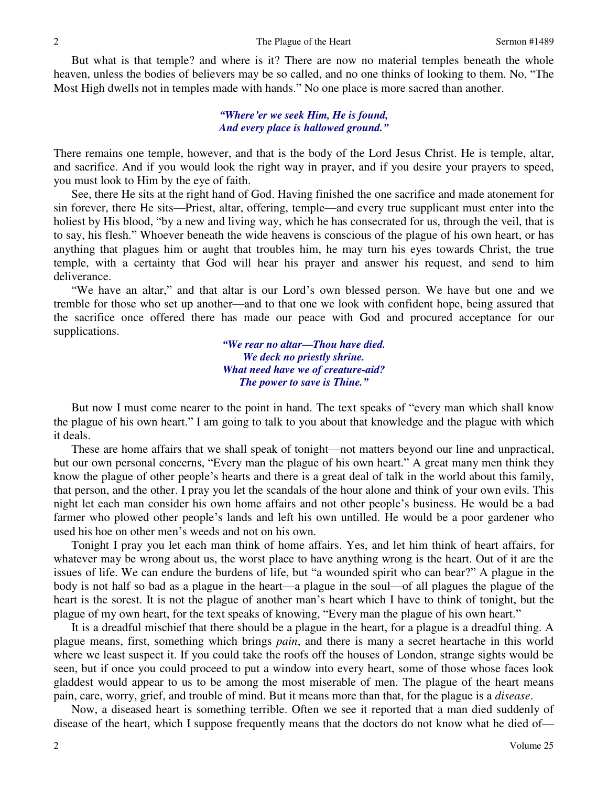But what is that temple? and where is it? There are now no material temples beneath the whole heaven, unless the bodies of believers may be so called, and no one thinks of looking to them. No, "The Most High dwells not in temples made with hands." No one place is more sacred than another.

### *"Where'er we seek Him, He is found, And every place is hallowed ground."*

There remains one temple, however, and that is the body of the Lord Jesus Christ. He is temple, altar, and sacrifice. And if you would look the right way in prayer, and if you desire your prayers to speed, you must look to Him by the eye of faith.

 See, there He sits at the right hand of God. Having finished the one sacrifice and made atonement for sin forever, there He sits—Priest, altar, offering, temple—and every true supplicant must enter into the holiest by His blood, "by a new and living way, which he has consecrated for us, through the veil, that is to say, his flesh." Whoever beneath the wide heavens is conscious of the plague of his own heart, or has anything that plagues him or aught that troubles him, he may turn his eyes towards Christ, the true temple, with a certainty that God will hear his prayer and answer his request, and send to him deliverance.

"We have an altar," and that altar is our Lord's own blessed person. We have but one and we tremble for those who set up another—and to that one we look with confident hope, being assured that the sacrifice once offered there has made our peace with God and procured acceptance for our supplications.

> *"We rear no altar—Thou have died. We deck no priestly shrine. What need have we of creature-aid? The power to save is Thine."*

But now I must come nearer to the point in hand. The text speaks of "every man which shall know the plague of his own heart." I am going to talk to you about that knowledge and the plague with which it deals.

 These are home affairs that we shall speak of tonight—not matters beyond our line and unpractical, but our own personal concerns, "Every man the plague of his own heart." A great many men think they know the plague of other people's hearts and there is a great deal of talk in the world about this family, that person, and the other. I pray you let the scandals of the hour alone and think of your own evils. This night let each man consider his own home affairs and not other people's business. He would be a bad farmer who plowed other people's lands and left his own untilled. He would be a poor gardener who used his hoe on other men's weeds and not on his own.

 Tonight I pray you let each man think of home affairs. Yes, and let him think of heart affairs, for whatever may be wrong about us, the worst place to have anything wrong is the heart. Out of it are the issues of life. We can endure the burdens of life, but "a wounded spirit who can bear?" A plague in the body is not half so bad as a plague in the heart—a plague in the soul—of all plagues the plague of the heart is the sorest. It is not the plague of another man's heart which I have to think of tonight, but the plague of my own heart, for the text speaks of knowing, "Every man the plague of his own heart."

 It is a dreadful mischief that there should be a plague in the heart, for a plague is a dreadful thing. A plague means, first, something which brings *pain*, and there is many a secret heartache in this world where we least suspect it. If you could take the roofs off the houses of London, strange sights would be seen, but if once you could proceed to put a window into every heart, some of those whose faces look gladdest would appear to us to be among the most miserable of men. The plague of the heart means pain, care, worry, grief, and trouble of mind. But it means more than that, for the plague is a *disease*.

 Now, a diseased heart is something terrible. Often we see it reported that a man died suddenly of disease of the heart, which I suppose frequently means that the doctors do not know what he died of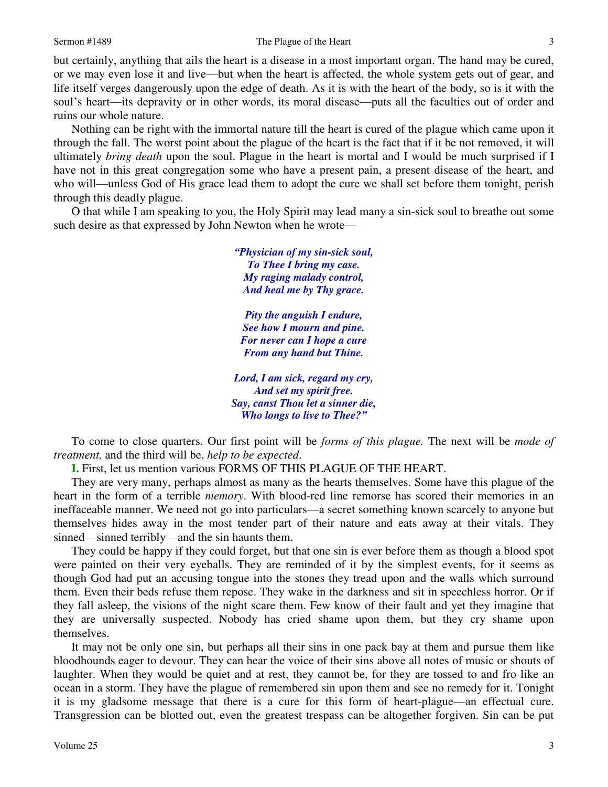but certainly, anything that ails the heart is a disease in a most important organ. The hand may be cured, or we may even lose it and live—but when the heart is affected, the whole system gets out of gear, and life itself verges dangerously upon the edge of death. As it is with the heart of the body, so is it with the soul's heart—its depravity or in other words, its moral disease—puts all the faculties out of order and ruins our whole nature.

 Nothing can be right with the immortal nature till the heart is cured of the plague which came upon it through the fall. The worst point about the plague of the heart is the fact that if it be not removed, it will ultimately *bring death* upon the soul. Plague in the heart is mortal and I would be much surprised if I have not in this great congregation some who have a present pain, a present disease of the heart, and who will—unless God of His grace lead them to adopt the cure we shall set before them tonight, perish through this deadly plague.

 O that while I am speaking to you, the Holy Spirit may lead many a sin-sick soul to breathe out some such desire as that expressed by John Newton when he wrote—

> *"Physician of my sin-sick soul, To Thee I bring my case. My raging malady control, And heal me by Thy grace. Pity the anguish I endure, See how I mourn and pine. For never can I hope a cure From any hand but Thine. Lord, I am sick, regard my cry,*

*And set my spirit free. Say, canst Thou let a sinner die, Who longs to live to Thee?"*

To come to close quarters. Our first point will be *forms of this plague.* The next will be *mode of treatment,* and the third will be, *help to be expected*.

**I.** First, let us mention various FORMS OF THIS PLAGUE OF THE HEART.

 They are very many, perhaps almost as many as the hearts themselves. Some have this plague of the heart in the form of a terrible *memory*. With blood-red line remorse has scored their memories in an ineffaceable manner. We need not go into particulars—a secret something known scarcely to anyone but themselves hides away in the most tender part of their nature and eats away at their vitals. They sinned—sinned terribly—and the sin haunts them.

 They could be happy if they could forget, but that one sin is ever before them as though a blood spot were painted on their very eyeballs. They are reminded of it by the simplest events, for it seems as though God had put an accusing tongue into the stones they tread upon and the walls which surround them. Even their beds refuse them repose. They wake in the darkness and sit in speechless horror. Or if they fall asleep, the visions of the night scare them. Few know of their fault and yet they imagine that they are universally suspected. Nobody has cried shame upon them, but they cry shame upon themselves.

It may not be only one sin, but perhaps all their sins in one pack bay at them and pursue them like bloodhounds eager to devour. They can hear the voice of their sins above all notes of music or shouts of laughter. When they would be quiet and at rest, they cannot be, for they are tossed to and fro like an ocean in a storm. They have the plague of remembered sin upon them and see no remedy for it. Tonight it is my gladsome message that there is a cure for this form of heart-plague—an effectual cure. Transgression can be blotted out, even the greatest trespass can be altogether forgiven. Sin can be put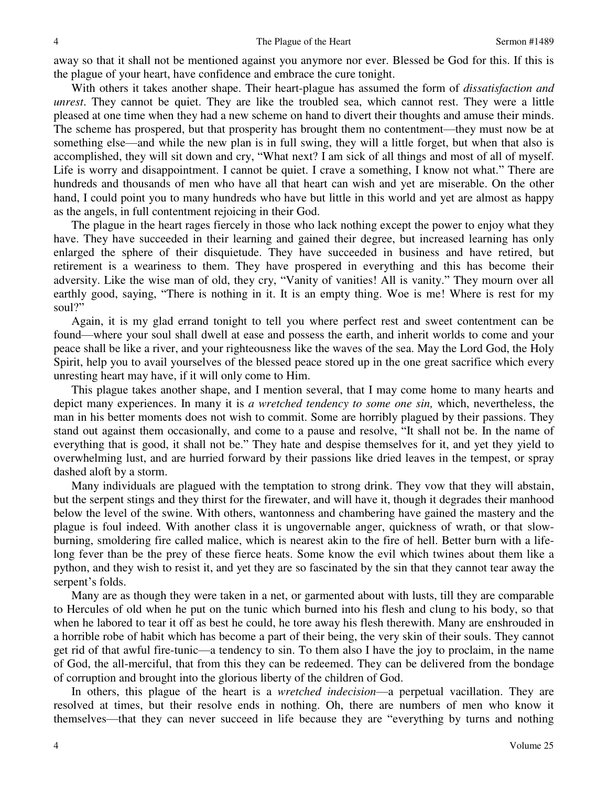away so that it shall not be mentioned against you anymore nor ever. Blessed be God for this. If this is the plague of your heart, have confidence and embrace the cure tonight.

 With others it takes another shape. Their heart-plague has assumed the form of *dissatisfaction and unrest*. They cannot be quiet. They are like the troubled sea, which cannot rest. They were a little pleased at one time when they had a new scheme on hand to divert their thoughts and amuse their minds. The scheme has prospered, but that prosperity has brought them no contentment—they must now be at something else—and while the new plan is in full swing, they will a little forget, but when that also is accomplished, they will sit down and cry, "What next? I am sick of all things and most of all of myself. Life is worry and disappointment. I cannot be quiet. I crave a something, I know not what." There are hundreds and thousands of men who have all that heart can wish and yet are miserable. On the other hand, I could point you to many hundreds who have but little in this world and yet are almost as happy as the angels, in full contentment rejoicing in their God.

 The plague in the heart rages fiercely in those who lack nothing except the power to enjoy what they have. They have succeeded in their learning and gained their degree, but increased learning has only enlarged the sphere of their disquietude. They have succeeded in business and have retired, but retirement is a weariness to them. They have prospered in everything and this has become their adversity. Like the wise man of old, they cry, "Vanity of vanities! All is vanity." They mourn over all earthly good, saying, "There is nothing in it. It is an empty thing. Woe is me! Where is rest for my soul?"

 Again, it is my glad errand tonight to tell you where perfect rest and sweet contentment can be found—where your soul shall dwell at ease and possess the earth, and inherit worlds to come and your peace shall be like a river, and your righteousness like the waves of the sea. May the Lord God, the Holy Spirit, help you to avail yourselves of the blessed peace stored up in the one great sacrifice which every unresting heart may have, if it will only come to Him.

 This plague takes another shape, and I mention several, that I may come home to many hearts and depict many experiences. In many it is *a wretched tendency to some one sin,* which, nevertheless, the man in his better moments does not wish to commit. Some are horribly plagued by their passions. They stand out against them occasionally, and come to a pause and resolve, "It shall not be. In the name of everything that is good, it shall not be." They hate and despise themselves for it, and yet they yield to overwhelming lust, and are hurried forward by their passions like dried leaves in the tempest, or spray dashed aloft by a storm.

 Many individuals are plagued with the temptation to strong drink. They vow that they will abstain, but the serpent stings and they thirst for the firewater, and will have it, though it degrades their manhood below the level of the swine. With others, wantonness and chambering have gained the mastery and the plague is foul indeed. With another class it is ungovernable anger, quickness of wrath, or that slowburning, smoldering fire called malice, which is nearest akin to the fire of hell. Better burn with a lifelong fever than be the prey of these fierce heats. Some know the evil which twines about them like a python, and they wish to resist it, and yet they are so fascinated by the sin that they cannot tear away the serpent's folds.

 Many are as though they were taken in a net, or garmented about with lusts, till they are comparable to Hercules of old when he put on the tunic which burned into his flesh and clung to his body, so that when he labored to tear it off as best he could, he tore away his flesh therewith. Many are enshrouded in a horrible robe of habit which has become a part of their being, the very skin of their souls. They cannot get rid of that awful fire-tunic—a tendency to sin. To them also I have the joy to proclaim, in the name of God, the all-merciful, that from this they can be redeemed. They can be delivered from the bondage of corruption and brought into the glorious liberty of the children of God.

In others, this plague of the heart is a *wretched indecision*—a perpetual vacillation. They are resolved at times, but their resolve ends in nothing. Oh, there are numbers of men who know it themselves—that they can never succeed in life because they are "everything by turns and nothing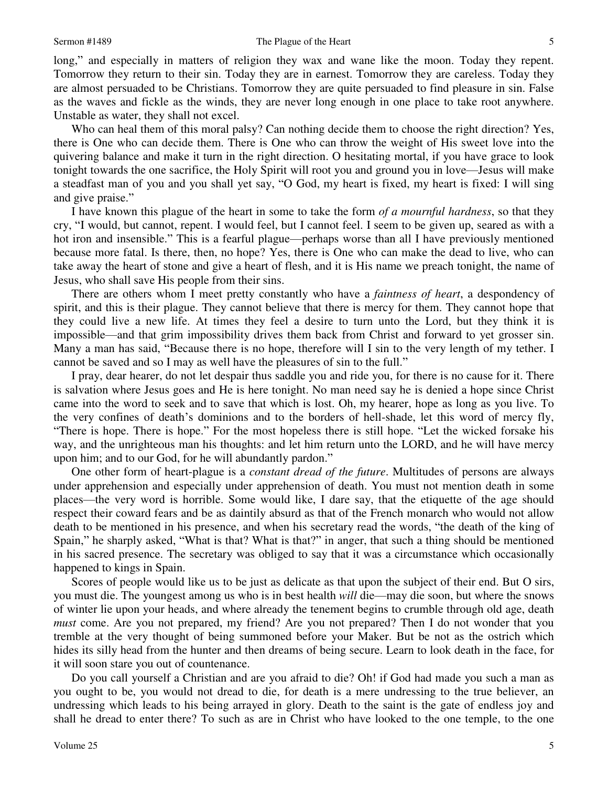long," and especially in matters of religion they wax and wane like the moon. Today they repent. Tomorrow they return to their sin. Today they are in earnest. Tomorrow they are careless. Today they are almost persuaded to be Christians. Tomorrow they are quite persuaded to find pleasure in sin. False as the waves and fickle as the winds, they are never long enough in one place to take root anywhere. Unstable as water, they shall not excel.

 Who can heal them of this moral palsy? Can nothing decide them to choose the right direction? Yes, there is One who can decide them. There is One who can throw the weight of His sweet love into the quivering balance and make it turn in the right direction. O hesitating mortal, if you have grace to look tonight towards the one sacrifice, the Holy Spirit will root you and ground you in love—Jesus will make a steadfast man of you and you shall yet say, "O God, my heart is fixed, my heart is fixed: I will sing and give praise."

 I have known this plague of the heart in some to take the form *of a mournful hardness*, so that they cry, "I would, but cannot, repent. I would feel, but I cannot feel. I seem to be given up, seared as with a hot iron and insensible." This is a fearful plague—perhaps worse than all I have previously mentioned because more fatal. Is there, then, no hope? Yes, there is One who can make the dead to live, who can take away the heart of stone and give a heart of flesh, and it is His name we preach tonight, the name of Jesus, who shall save His people from their sins.

 There are others whom I meet pretty constantly who have a *faintness of heart*, a despondency of spirit, and this is their plague. They cannot believe that there is mercy for them. They cannot hope that they could live a new life. At times they feel a desire to turn unto the Lord, but they think it is impossible—and that grim impossibility drives them back from Christ and forward to yet grosser sin. Many a man has said, "Because there is no hope, therefore will I sin to the very length of my tether. I cannot be saved and so I may as well have the pleasures of sin to the full."

 I pray, dear hearer, do not let despair thus saddle you and ride you, for there is no cause for it. There is salvation where Jesus goes and He is here tonight. No man need say he is denied a hope since Christ came into the word to seek and to save that which is lost. Oh, my hearer, hope as long as you live. To the very confines of death's dominions and to the borders of hell-shade, let this word of mercy fly, "There is hope. There is hope." For the most hopeless there is still hope. "Let the wicked forsake his way, and the unrighteous man his thoughts: and let him return unto the LORD, and he will have mercy upon him; and to our God, for he will abundantly pardon."

 One other form of heart-plague is a *constant dread of the future*. Multitudes of persons are always under apprehension and especially under apprehension of death. You must not mention death in some places—the very word is horrible. Some would like, I dare say, that the etiquette of the age should respect their coward fears and be as daintily absurd as that of the French monarch who would not allow death to be mentioned in his presence, and when his secretary read the words, "the death of the king of Spain," he sharply asked, "What is that? What is that?" in anger, that such a thing should be mentioned in his sacred presence. The secretary was obliged to say that it was a circumstance which occasionally happened to kings in Spain.

 Scores of people would like us to be just as delicate as that upon the subject of their end. But O sirs, you must die. The youngest among us who is in best health *will* die—may die soon, but where the snows of winter lie upon your heads, and where already the tenement begins to crumble through old age, death *must* come. Are you not prepared, my friend? Are you not prepared? Then I do not wonder that you tremble at the very thought of being summoned before your Maker. But be not as the ostrich which hides its silly head from the hunter and then dreams of being secure. Learn to look death in the face, for it will soon stare you out of countenance.

Do you call yourself a Christian and are you afraid to die? Oh! if God had made you such a man as you ought to be, you would not dread to die, for death is a mere undressing to the true believer, an undressing which leads to his being arrayed in glory. Death to the saint is the gate of endless joy and shall he dread to enter there? To such as are in Christ who have looked to the one temple, to the one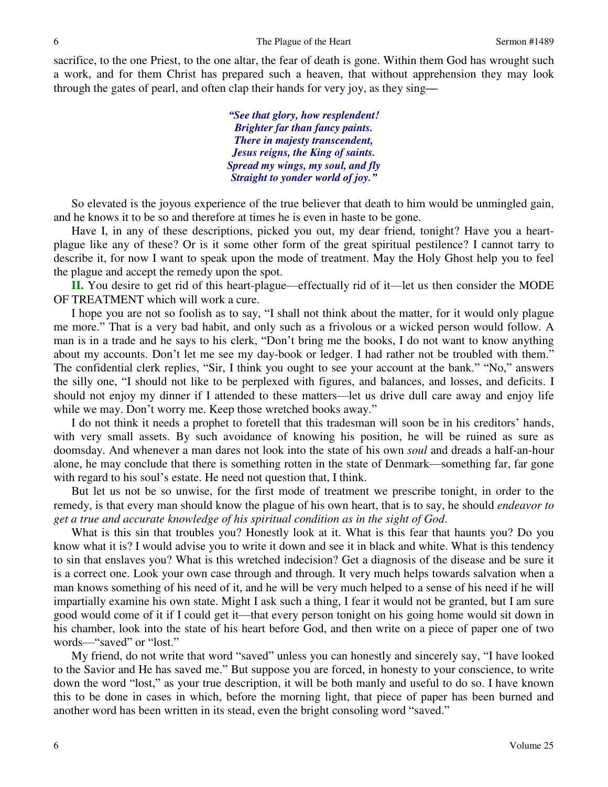sacrifice, to the one Priest, to the one altar, the fear of death is gone. Within them God has wrought such a work, and for them Christ has prepared such a heaven, that without apprehension they may look through the gates of pearl, and often clap their hands for very joy, as they sing*—*

> *"See that glory, how resplendent! Brighter far than fancy paints. There in majesty transcendent, Jesus reigns, the King of saints. Spread my wings, my soul, and fly Straight to yonder world of joy."*

So elevated is the joyous experience of the true believer that death to him would be unmingled gain, and he knows it to be so and therefore at times he is even in haste to be gone.

 Have I, in any of these descriptions, picked you out, my dear friend, tonight? Have you a heartplague like any of these? Or is it some other form of the great spiritual pestilence? I cannot tarry to describe it, for now I want to speak upon the mode of treatment. May the Holy Ghost help you to feel the plague and accept the remedy upon the spot.

**II.** You desire to get rid of this heart-plague—effectually rid of it—let us then consider the MODE OF TREATMENT which will work a cure.

 I hope you are not so foolish as to say, "I shall not think about the matter, for it would only plague me more." That is a very bad habit, and only such as a frivolous or a wicked person would follow. A man is in a trade and he says to his clerk, "Don't bring me the books, I do not want to know anything about my accounts. Don't let me see my day-book or ledger. I had rather not be troubled with them." The confidential clerk replies, "Sir, I think you ought to see your account at the bank." "No," answers the silly one, "I should not like to be perplexed with figures, and balances, and losses, and deficits. I should not enjoy my dinner if I attended to these matters—let us drive dull care away and enjoy life while we may. Don't worry me. Keep those wretched books away."

 I do not think it needs a prophet to foretell that this tradesman will soon be in his creditors' hands, with very small assets. By such avoidance of knowing his position, he will be ruined as sure as doomsday. And whenever a man dares not look into the state of his own *soul* and dreads a half-an-hour alone, he may conclude that there is something rotten in the state of Denmark—something far, far gone with regard to his soul's estate. He need not question that, I think.

 But let us not be so unwise, for the first mode of treatment we prescribe tonight, in order to the remedy, is that every man should know the plague of his own heart, that is to say, he should *endeavor to get a true and accurate knowledge of his spiritual condition as in the sight of God*.

 What is this sin that troubles you? Honestly look at it. What is this fear that haunts you? Do you know what it is? I would advise you to write it down and see it in black and white. What is this tendency to sin that enslaves you? What is this wretched indecision? Get a diagnosis of the disease and be sure it is a correct one. Look your own case through and through. It very much helps towards salvation when a man knows something of his need of it, and he will be very much helped to a sense of his need if he will impartially examine his own state. Might I ask such a thing, I fear it would not be granted, but I am sure good would come of it if I could get it—that every person tonight on his going home would sit down in his chamber, look into the state of his heart before God, and then write on a piece of paper one of two words—"saved" or "lost."

My friend, do not write that word "saved" unless you can honestly and sincerely say, "I have looked to the Savior and He has saved me." But suppose you are forced, in honesty to your conscience, to write down the word "lost," as your true description, it will be both manly and useful to do so. I have known this to be done in cases in which, before the morning light, that piece of paper has been burned and another word has been written in its stead, even the bright consoling word "saved."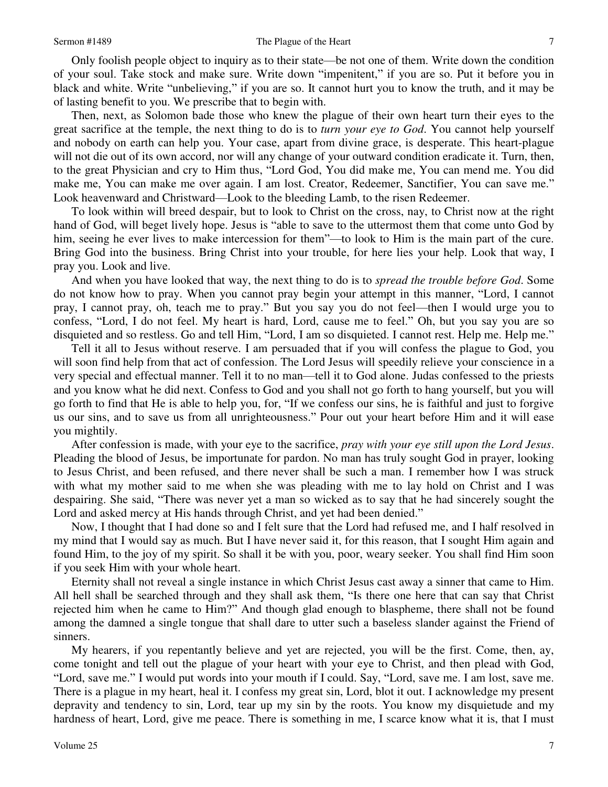Only foolish people object to inquiry as to their state—be not one of them. Write down the condition of your soul. Take stock and make sure. Write down "impenitent," if you are so. Put it before you in black and white. Write "unbelieving," if you are so. It cannot hurt you to know the truth, and it may be of lasting benefit to you. We prescribe that to begin with.

 Then, next, as Solomon bade those who knew the plague of their own heart turn their eyes to the great sacrifice at the temple, the next thing to do is to *turn your eye to God*. You cannot help yourself and nobody on earth can help you. Your case, apart from divine grace, is desperate. This heart-plague will not die out of its own accord, nor will any change of your outward condition eradicate it. Turn, then, to the great Physician and cry to Him thus, "Lord God, You did make me, You can mend me. You did make me, You can make me over again. I am lost. Creator, Redeemer, Sanctifier, You can save me." Look heavenward and Christward—Look to the bleeding Lamb, to the risen Redeemer.

 To look within will breed despair, but to look to Christ on the cross, nay, to Christ now at the right hand of God, will beget lively hope. Jesus is "able to save to the uttermost them that come unto God by him, seeing he ever lives to make intercession for them"—to look to Him is the main part of the cure. Bring God into the business. Bring Christ into your trouble, for here lies your help. Look that way, I pray you. Look and live.

 And when you have looked that way, the next thing to do is to *spread the trouble before God*. Some do not know how to pray. When you cannot pray begin your attempt in this manner, "Lord, I cannot pray, I cannot pray, oh, teach me to pray." But you say you do not feel—then I would urge you to confess, "Lord, I do not feel. My heart is hard, Lord, cause me to feel." Oh, but you say you are so disquieted and so restless. Go and tell Him, "Lord, I am so disquieted. I cannot rest. Help me. Help me."

 Tell it all to Jesus without reserve. I am persuaded that if you will confess the plague to God, you will soon find help from that act of confession. The Lord Jesus will speedily relieve your conscience in a very special and effectual manner. Tell it to no man—tell it to God alone. Judas confessed to the priests and you know what he did next. Confess to God and you shall not go forth to hang yourself, but you will go forth to find that He is able to help you, for, "If we confess our sins, he is faithful and just to forgive us our sins, and to save us from all unrighteousness." Pour out your heart before Him and it will ease you mightily.

 After confession is made, with your eye to the sacrifice, *pray with your eye still upon the Lord Jesus*. Pleading the blood of Jesus, be importunate for pardon. No man has truly sought God in prayer, looking to Jesus Christ, and been refused, and there never shall be such a man. I remember how I was struck with what my mother said to me when she was pleading with me to lay hold on Christ and I was despairing. She said, "There was never yet a man so wicked as to say that he had sincerely sought the Lord and asked mercy at His hands through Christ, and yet had been denied."

 Now, I thought that I had done so and I felt sure that the Lord had refused me, and I half resolved in my mind that I would say as much. But I have never said it, for this reason, that I sought Him again and found Him, to the joy of my spirit. So shall it be with you, poor, weary seeker. You shall find Him soon if you seek Him with your whole heart.

 Eternity shall not reveal a single instance in which Christ Jesus cast away a sinner that came to Him. All hell shall be searched through and they shall ask them, "Is there one here that can say that Christ rejected him when he came to Him?" And though glad enough to blaspheme, there shall not be found among the damned a single tongue that shall dare to utter such a baseless slander against the Friend of sinners.

My hearers, if you repentantly believe and yet are rejected, you will be the first. Come, then, ay, come tonight and tell out the plague of your heart with your eye to Christ, and then plead with God, "Lord, save me." I would put words into your mouth if I could. Say, "Lord, save me. I am lost, save me. There is a plague in my heart, heal it. I confess my great sin, Lord, blot it out. I acknowledge my present depravity and tendency to sin, Lord, tear up my sin by the roots. You know my disquietude and my hardness of heart, Lord, give me peace. There is something in me, I scarce know what it is, that I must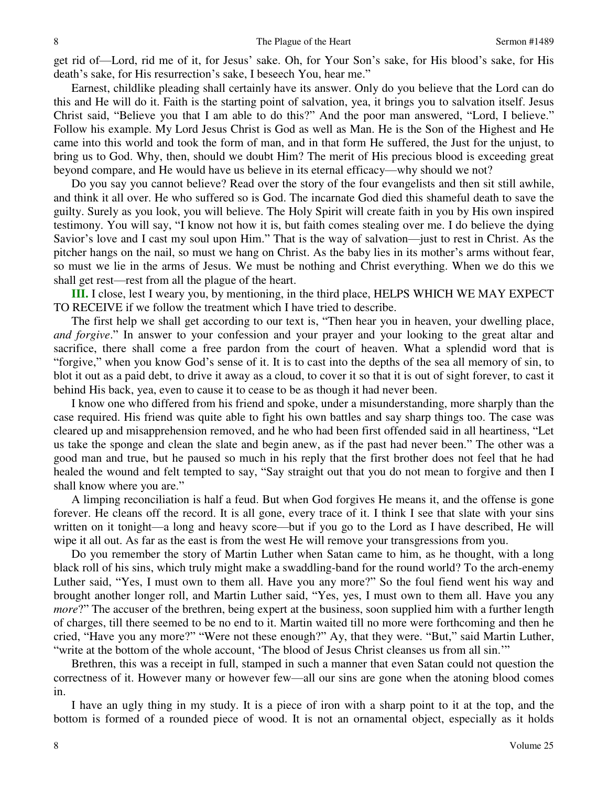get rid of—Lord, rid me of it, for Jesus' sake. Oh, for Your Son's sake, for His blood's sake, for His death's sake, for His resurrection's sake, I beseech You, hear me."

Earnest, childlike pleading shall certainly have its answer. Only do you believe that the Lord can do this and He will do it. Faith is the starting point of salvation, yea, it brings you to salvation itself. Jesus Christ said, "Believe you that I am able to do this?" And the poor man answered, "Lord, I believe." Follow his example. My Lord Jesus Christ is God as well as Man. He is the Son of the Highest and He came into this world and took the form of man, and in that form He suffered, the Just for the unjust, to bring us to God. Why, then, should we doubt Him? The merit of His precious blood is exceeding great beyond compare, and He would have us believe in its eternal efficacy—why should we not?

Do you say you cannot believe? Read over the story of the four evangelists and then sit still awhile, and think it all over. He who suffered so is God. The incarnate God died this shameful death to save the guilty. Surely as you look, you will believe. The Holy Spirit will create faith in you by His own inspired testimony. You will say, "I know not how it is, but faith comes stealing over me. I do believe the dying Savior's love and I cast my soul upon Him." That is the way of salvation—just to rest in Christ. As the pitcher hangs on the nail, so must we hang on Christ. As the baby lies in its mother's arms without fear, so must we lie in the arms of Jesus. We must be nothing and Christ everything. When we do this we shall get rest—rest from all the plague of the heart.

**III.** I close, lest I weary you, by mentioning, in the third place, HELPS WHICH WE MAY EXPECT TO RECEIVE if we follow the treatment which I have tried to describe.

 The first help we shall get according to our text is, "Then hear you in heaven, your dwelling place, *and forgive*." In answer to your confession and your prayer and your looking to the great altar and sacrifice, there shall come a free pardon from the court of heaven. What a splendid word that is "forgive," when you know God's sense of it. It is to cast into the depths of the sea all memory of sin, to blot it out as a paid debt, to drive it away as a cloud, to cover it so that it is out of sight forever, to cast it behind His back, yea, even to cause it to cease to be as though it had never been.

I know one who differed from his friend and spoke, under a misunderstanding, more sharply than the case required. His friend was quite able to fight his own battles and say sharp things too. The case was cleared up and misapprehension removed, and he who had been first offended said in all heartiness, "Let us take the sponge and clean the slate and begin anew, as if the past had never been." The other was a good man and true, but he paused so much in his reply that the first brother does not feel that he had healed the wound and felt tempted to say, "Say straight out that you do not mean to forgive and then I shall know where you are."

 A limping reconciliation is half a feud. But when God forgives He means it, and the offense is gone forever. He cleans off the record. It is all gone, every trace of it. I think I see that slate with your sins written on it tonight—a long and heavy score—but if you go to the Lord as I have described, He will wipe it all out. As far as the east is from the west He will remove your transgressions from you.

Do you remember the story of Martin Luther when Satan came to him, as he thought, with a long black roll of his sins, which truly might make a swaddling-band for the round world? To the arch-enemy Luther said, "Yes, I must own to them all. Have you any more?" So the foul fiend went his way and brought another longer roll, and Martin Luther said, "Yes, yes, I must own to them all. Have you any *more*?" The accuser of the brethren, being expert at the business, soon supplied him with a further length of charges, till there seemed to be no end to it. Martin waited till no more were forthcoming and then he cried, "Have you any more?" "Were not these enough?" Ay, that they were. "But," said Martin Luther, "write at the bottom of the whole account, 'The blood of Jesus Christ cleanses us from all sin.'"

Brethren, this was a receipt in full, stamped in such a manner that even Satan could not question the correctness of it. However many or however few—all our sins are gone when the atoning blood comes in.

 I have an ugly thing in my study. It is a piece of iron with a sharp point to it at the top, and the bottom is formed of a rounded piece of wood. It is not an ornamental object, especially as it holds

8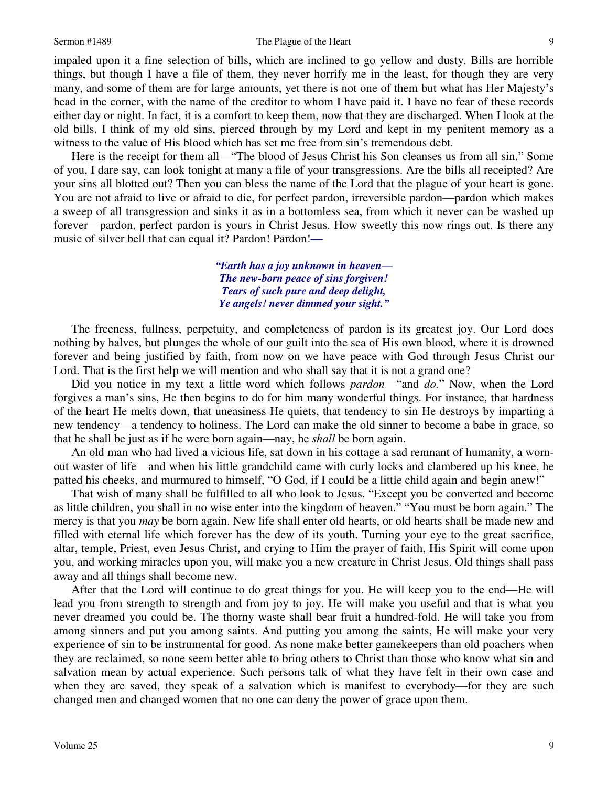#### Sermon #1489 The Plague of the Heart

impaled upon it a fine selection of bills, which are inclined to go yellow and dusty. Bills are horrible things, but though I have a file of them, they never horrify me in the least, for though they are very many, and some of them are for large amounts, yet there is not one of them but what has Her Majesty's head in the corner, with the name of the creditor to whom I have paid it. I have no fear of these records either day or night. In fact, it is a comfort to keep them, now that they are discharged. When I look at the old bills, I think of my old sins, pierced through by my Lord and kept in my penitent memory as a witness to the value of His blood which has set me free from sin's tremendous debt.

 Here is the receipt for them all—"The blood of Jesus Christ his Son cleanses us from all sin." Some of you, I dare say, can look tonight at many a file of your transgressions. Are the bills all receipted? Are your sins all blotted out? Then you can bless the name of the Lord that the plague of your heart is gone. You are not afraid to live or afraid to die, for perfect pardon, irreversible pardon—pardon which makes a sweep of all transgression and sinks it as in a bottomless sea, from which it never can be washed up forever—pardon, perfect pardon is yours in Christ Jesus. How sweetly this now rings out. Is there any music of silver bell that can equal it? Pardon! Pardon!*—*

> *"Earth has a joy unknown in heaven— The new-born peace of sins forgiven! Tears of such pure and deep delight, Ye angels! never dimmed your sight."*

The freeness, fullness, perpetuity, and completeness of pardon is its greatest joy. Our Lord does nothing by halves, but plunges the whole of our guilt into the sea of His own blood, where it is drowned forever and being justified by faith, from now on we have peace with God through Jesus Christ our Lord. That is the first help we will mention and who shall say that it is not a grand one?

 Did you notice in my text a little word which follows *pardon*—"and *do.*" Now, when the Lord forgives a man's sins, He then begins to do for him many wonderful things. For instance, that hardness of the heart He melts down, that uneasiness He quiets, that tendency to sin He destroys by imparting a new tendency—a tendency to holiness. The Lord can make the old sinner to become a babe in grace, so that he shall be just as if he were born again—nay, he *shall* be born again.

An old man who had lived a vicious life, sat down in his cottage a sad remnant of humanity, a wornout waster of life—and when his little grandchild came with curly locks and clambered up his knee, he patted his cheeks, and murmured to himself, "O God, if I could be a little child again and begin anew!"

 That wish of many shall be fulfilled to all who look to Jesus. "Except you be converted and become as little children, you shall in no wise enter into the kingdom of heaven." "You must be born again." The mercy is that you *may* be born again. New life shall enter old hearts, or old hearts shall be made new and filled with eternal life which forever has the dew of its youth. Turning your eye to the great sacrifice, altar, temple, Priest, even Jesus Christ, and crying to Him the prayer of faith, His Spirit will come upon you, and working miracles upon you, will make you a new creature in Christ Jesus. Old things shall pass away and all things shall become new.

 After that the Lord will continue to do great things for you. He will keep you to the end—He will lead you from strength to strength and from joy to joy. He will make you useful and that is what you never dreamed you could be. The thorny waste shall bear fruit a hundred-fold. He will take you from among sinners and put you among saints. And putting you among the saints, He will make your very experience of sin to be instrumental for good. As none make better gamekeepers than old poachers when they are reclaimed, so none seem better able to bring others to Christ than those who know what sin and salvation mean by actual experience. Such persons talk of what they have felt in their own case and when they are saved, they speak of a salvation which is manifest to everybody—for they are such changed men and changed women that no one can deny the power of grace upon them.